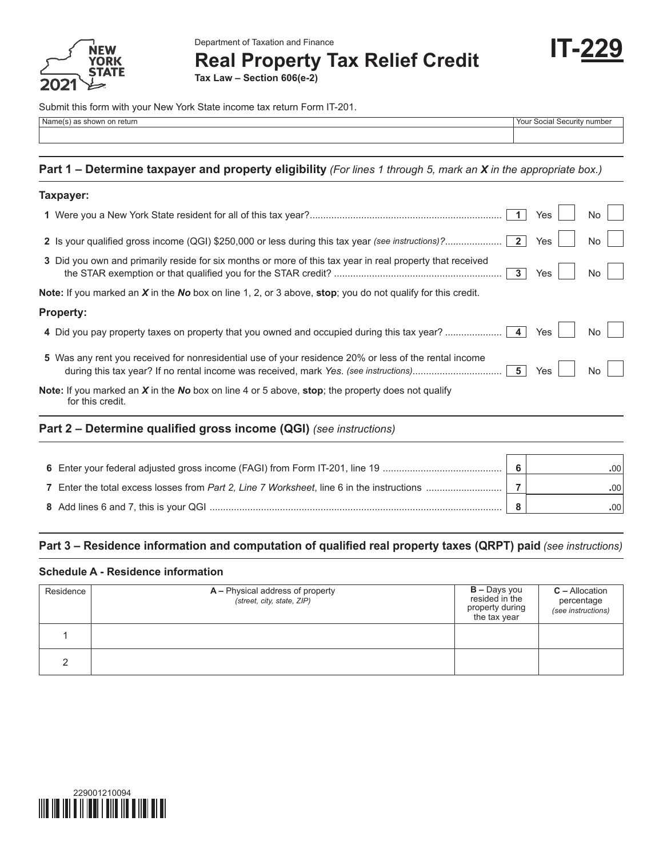

Department of Taxation and Finance

**Real Property Tax Relief Credit**

**IT-229**

**Tax Law – Section 606(e-2)**

Submit this form with your New York State income tax return Form IT-201.

| Name(s) as shown on return                                                                                                    | Your Social Security number |     |           |  |
|-------------------------------------------------------------------------------------------------------------------------------|-----------------------------|-----|-----------|--|
| Part 1 – Determine taxpayer and property eligibility (For lines 1 through 5, mark an X in the appropriate box.)               |                             |     |           |  |
| Taxpayer:                                                                                                                     |                             |     |           |  |
|                                                                                                                               | 1                           | Yes | <b>No</b> |  |
|                                                                                                                               |                             | Yes | <b>No</b> |  |
| 3 Did you own and primarily reside for six months or more of this tax year in real property that received                     | 3 <sup>1</sup>              | Yes | <b>No</b> |  |
| <b>Note:</b> If you marked an $X$ in the No box on line 1, 2, or 3 above, stop; you do not qualify for this credit.           |                             |     |           |  |
| <b>Property:</b>                                                                                                              |                             |     |           |  |
| 4 Did you pay property taxes on property that you owned and occupied during this tax year?                                    | $\vert$ 4                   | Yes | No        |  |
| 5 Was any rent you received for nonresidential use of your residence 20% or less of the rental income                         | 5 <sup>1</sup>              | Yes | No        |  |
| <b>Note:</b> If you marked an $X$ in the No box on line 4 or 5 above, stop; the property does not qualify<br>for this credit. |                             |     |           |  |
| Part 2 – Determine qualified gross income (QGI) (see instructions)                                                            |                             |     |           |  |
|                                                                                                                               | 6                           |     | .00       |  |
|                                                                                                                               | $\overline{7}$              |     | .00       |  |

**8** Add lines 6 and 7, this is your QGI ............................................................................................................ **8 .**00

## **Part 3 – Residence information and computation of qualified real property taxes (QRPT) paid** *(see instructions)*

## **Schedule A - Residence information**

| Residence | A – Physical address of property<br>(street, city, state, ZIP) | <b>B</b> – Days you<br>resided in the<br>property during<br>the tax year | $C -$ Allocation<br>percentage<br>(see instructions) |
|-----------|----------------------------------------------------------------|--------------------------------------------------------------------------|------------------------------------------------------|
|           |                                                                |                                                                          |                                                      |
|           |                                                                |                                                                          |                                                      |